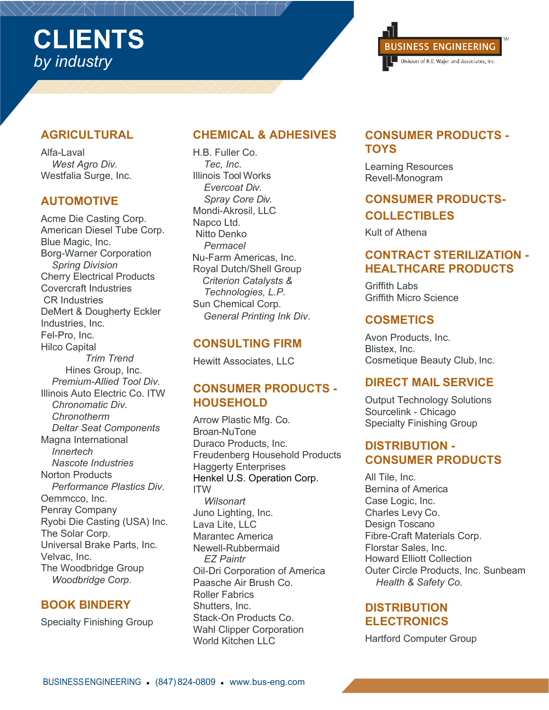## **AGRICULTURAL**

Alfa-Laval *West Agro Div.* Westfalia Surge, Inc.

### **AUTOMOTIVE**

Acme Die Casting Corp. American Diesel Tube Corp. Blue Magic, Inc. Borg-Warner Corporation *Spring Division* Cherry Electrical Products Covercraft Industries CR Industries DeMert & Dougherty Eckler Industries, Inc. Fel-Pro, Inc. Hilco Capital *Trim Trend* Hines Group, Inc. *Premium-Allied Tool Div.* Illinois Auto Electric Co. ITW *Chronomatic Div. Chronotherm Deltar Seat Components* Magna International *Innertech Nascote Industries* Norton Products *Performance Plastics Div.* Oemmcco, Inc. Penray Company Ryobi Die Casting (USA) Inc. The Solar Corp. Universal Brake Parts, Inc. Velvac, Inc. The Woodbridge Group *Woodbridge Corp.*

## **BOOK BINDERY**

Specialty Finishing Group

## **CHEMICAL & ADHESIVES**

H.B. Fuller Co. *Tec, Inc*. Illinois Tool Works *Evercoat Div. Spray Core Div.* Mondi-Akrosil, LLC Napco Ltd. Nitto Denko *Permacel* Nu-Farm Americas, Inc. Royal Dutch/Shell Group *Criterion Catalysts & Technologies, L.P.* Sun Chemical Corp. *General Printing Ink Div*.

## **CONSULTING FIRM**

Hewitt Associates, LLC

## **CONSUMER PRODUCTS - HOUSEHOLD**

Arrow Plastic Mfg. Co. Broan-NuTone Duraco Products, Inc. Freudenberg Household Products Haggerty Enterprises Henkel U.S. Operation Corp. ITW *Wilsonart* Juno Lighting, Inc. Lava Lite, LLC Marantec America Newell-Rubbermaid *EZ Paintr* Oil-Dri Corporation of America Paasche Air Brush Co. Roller Fabrics Shutters, Inc. Stack-On Products Co. Wahl Clipper Corporation World Kitchen LLC



## **CONSUMER PRODUCTS - TOYS**

Learning Resources Revell-Monogram

# **CONSUMER PRODUCTS-COLLECTIBLES**

Kult of Athena

## **CONTRACT STERILIZATION - HEALTHCARE PRODUCTS**

Griffith Labs Griffith Micro Science

### **COSMETICS**

Avon Products, Inc. Blistex, Inc. Cosmetique Beauty Club, Inc.

### **DIRECT MAIL SERVICE**

Output Technology Solutions Sourcelink - Chicago Specialty Finishing Group

### **DISTRIBUTION - CONSUMER PRODUCTS**

All Tile, Inc. Bernina of America Case Logic, Inc. Charles Levy Co. Design Toscano Fibre-Craft Materials Corp. Florstar Sales, Inc. Howard Elliott Collection Outer Circle Products, Inc. Sunbeam *Health & Safety Co.*

### **DISTRIBUTION ELECTRONICS**

Hartford Computer Group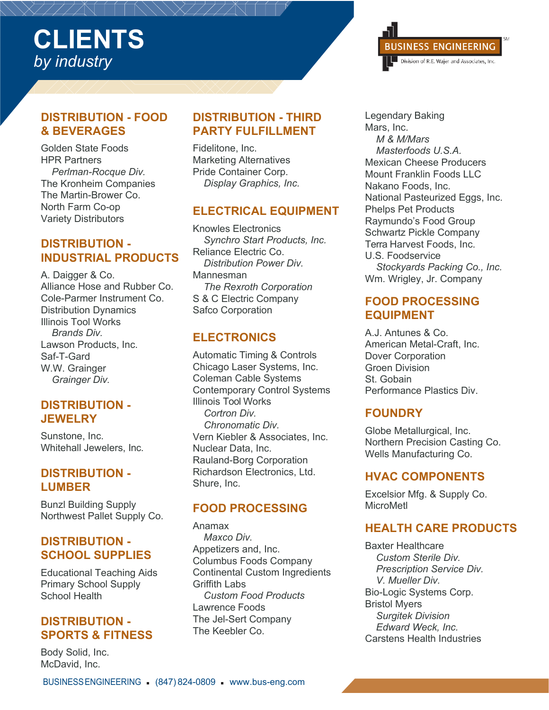### **DISTRIBUTION - FOOD & BEVERAGES**

Golden State Foods HPR Partners *Perlman-Rocque Div.* The Kronheim Companies The Martin-Brower Co. North Farm Co-op Variety Distributors

### **DISTRIBUTION - INDUSTRIAL PRODUCTS**

A. Daigger & Co. Alliance Hose and Rubber Co. Cole-Parmer Instrument Co. Distribution Dynamics Illinois Tool Works *Brands Div.* Lawson Products, Inc. Saf-T-Gard W.W. Grainger *Grainger Div.*

## **DISTRIBUTION - JEWELRY**

Sunstone, Inc. Whitehall Jewelers, Inc.

## **DISTRIBUTION - LUMBER**

Bunzl Building Supply Northwest Pallet Supply Co.

## **DISTRIBUTION - SCHOOL SUPPLIES**

Educational Teaching Aids Primary School Supply School Health

## **DISTRIBUTION - SPORTS & FITNESS**

Body Solid, Inc. McDavid, Inc.

### **DISTRIBUTION - THIRD PARTY FULFILLMENT**

Fidelitone, Inc. Marketing Alternatives Pride Container Corp. *Display Graphics, Inc.*

### **ELECTRICAL EQUIPMENT**

Knowles Electronics *Synchro Start Products, Inc.* Reliance Electric Co. *Distribution Power Div.* Mannesman *The Rexroth Corporation*  S & C Electric Company Safco Corporation

## **ELECTRONICS**

Automatic Timing & Controls Chicago Laser Systems, Inc. Coleman Cable Systems Contemporary Control Systems Illinois Tool Works *Cortron Div. Chronomatic Div.* Vern Kiebler & Associates, Inc. Nuclear Data, Inc. Rauland-Borg Corporation Richardson Electronics, Ltd. Shure, Inc.

## **FOOD PROCESSING**

Anamax *Maxco Div.* Appetizers and, Inc. Columbus Foods Company Continental Custom Ingredients Griffith Labs *Custom Food Products* Lawrence Foods The Jel-Sert Company The Keebler Co.

Legendary Baking Mars, Inc. *M & M/Mars Masterfoods U.S.A.* Mexican Cheese Producers Mount Franklin Foods LLC Nakano Foods, Inc. National Pasteurized Eggs, Inc. Phelps Pet Products Raymundo's Food Group Schwartz Pickle Company Terra Harvest Foods, Inc. U.S. Foodservice *Stockyards Packing Co., Inc.* Wm. Wrigley, Jr. Company

**BUSINESS ENGINEERING** Division of R.E. Wajer and Associates, Inc.

## **FOOD PROCESSING EQUIPMENT**

A.J. Antunes & Co. American Metal-Craft, Inc. Dover Corporation Groen Division St. Gobain Performance Plastics Div.

# **FOUNDRY**

Globe Metallurgical, Inc. Northern Precision Casting Co. Wells Manufacturing Co.

## **HVAC COMPONENTS**

Excelsior Mfg. & Supply Co. MicroMetl

# **HEALTH CARE PRODUCTS**

Baxter Healthcare *Custom Sterile Div. Prescription Service Div. V. Mueller Div.* Bio-Logic Systems Corp. Bristol Myers *Surgitek Division Edward Weck, Inc.* Carstens Health Industries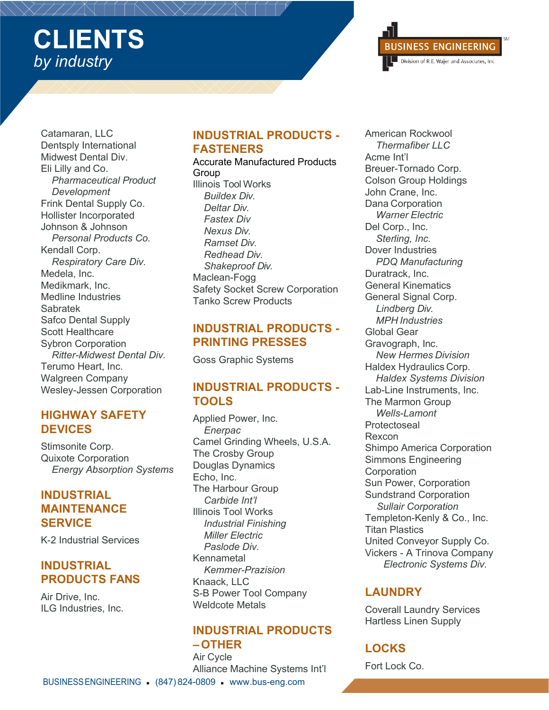

Catamaran, LLC Dentsply International Midwest Dental Div. Eli Lilly and Co. *Pharmaceutical Product Development* Frink Dental Supply Co. Hollister Incorporated Johnson & Johnson *Personal Products Co.* Kendall Corp. *Respiratory Care Div.* Medela, Inc. Medikmark, Inc. Medline Industries Sabratek Safco Dental Supply Scott Healthcare Sybron Corporation *Ritter-Midwest Dental Div.* Terumo Heart, Inc. Walgreen Company Wesley-Jessen Corporation

### **HIGHWAY SAFETY DEVICES**

Stimsonite Corp. Quixote Corporation *Energy Absorption Systems*

### **INDUSTRIAL MAINTENANCE SERVICE**

K-2 Industrial Services

## **INDUSTRIAL PRODUCTS FANS**

Air Drive, Inc. ILG Industries, Inc.

## **INDUSTRIAL PRODUCTS - FASTENERS**

#### Accurate Manufactured Products Group Illinois Tool Works *Buildex Div. Deltar Div. Fastex Div Nexus Div. Ramset Div. Redhead Div. Shakeproof Div.* Maclean-Fogg Safety Socket Screw Corporation Tanko Screw Products

### **INDUSTRIAL PRODUCTS - PRINTING PRESSES**

Goss Graphic Systems

## **INDUSTRIAL PRODUCTS - TOOLS**

Applied Power, Inc. *Enerpac* Camel Grinding Wheels, U.S.A. The Crosby Group Douglas Dynamics Echo, Inc. The Harbour Group *Carbide Int'l* Illinois Tool Works *Industrial Finishing Miller Electric Paslode Div.* Kennametal *Kemmer-Prazision* Knaack, LLC S-B Power Tool Company Weldcote Metals

## **INDUSTRIAL PRODUCTS –OTHER**

Air Cycle Alliance Machine Systems Int'l American Rockwool *Thermafiber LLC* Acme Int'l Breuer-Tornado Corp. Colson Group Holdings John Crane, Inc. Dana Corporation *Warner Electric* Del Corp., Inc. *Sterling, Inc.* Dover Industries *PDQ Manufacturing*  Duratrack, Inc. General Kinematics General Signal Corp. *Lindberg Div. MPH Industries* Global Gear Gravograph, Inc. *New Hermes Division* Haldex Hydraulics Corp. *Haldex Systems Division*  Lab-Line Instruments, Inc. The Marmon Group *Wells-Lamont* **Protectoseal** Rexcon Shimpo America Corporation Simmons Engineering **Corporation** Sun Power, Corporation Sundstrand Corporation *Sullair Corporation* Templeton-Kenly & Co., Inc. Titan Plastics United Conveyor Supply Co. Vickers - A Trinova Company *Electronic Systems Div.*

# **LAUNDRY**

Coverall Laundry Services Hartless Linen Supply

# **LOCKS**

Fort Lock Co.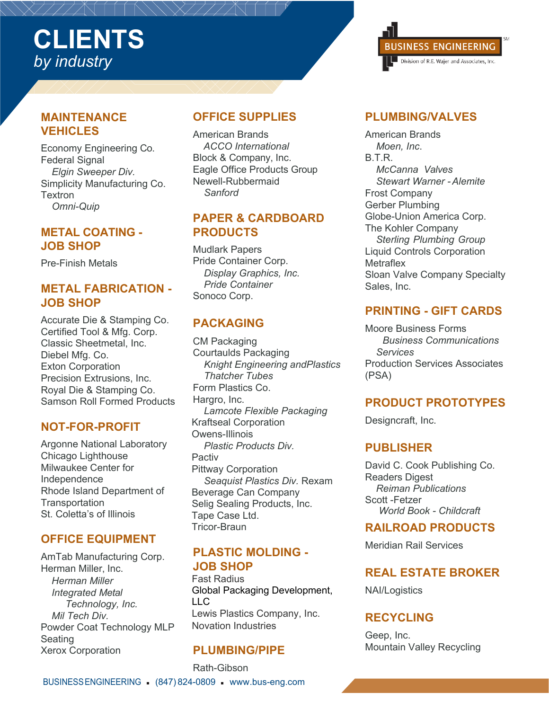## **MAINTENANCE VEHICLES**

Economy Engineering Co. Federal Signal *Elgin Sweeper Div.* Simplicity Manufacturing Co. Textron *Omni-Quip*

### **METAL COATING - JOB SHOP**

Pre-Finish Metals

### **METAL FABRICATION - JOB SHOP**

Accurate Die & Stamping Co. Certified Tool & Mfg. Corp. Classic Sheetmetal, Inc. Diebel Mfg. Co. Exton Corporation Precision Extrusions, Inc. Royal Die & Stamping Co. Samson Roll Formed Products

# **NOT-FOR-PROFIT**

Argonne National Laboratory Chicago Lighthouse Milwaukee Center for Independence Rhode Island Department of **Transportation** St. Coletta's of Illinois

## **OFFICE EQUIPMENT**

AmTab Manufacturing Corp. Herman Miller, Inc. *Herman Miller Integrated Metal Technology, Inc. Mil Tech Div.* Powder Coat Technology MLP Seating Xerox Corporation

### **OFFICE SUPPLIES**

American Brands *ACCO International* Block & Company, Inc. Eagle Office Products Group Newell-Rubbermaid *Sanford*

### **PAPER & CARDBOARD PRODUCTS**

Mudlark Papers Pride Container Corp. *Display Graphics, Inc. Pride Container* Sonoco Corp.

## **PACKAGING**

CM Packaging Courtaulds Packaging *Knight Engineering andPlastics Thatcher Tubes* Form Plastics Co. Hargro, Inc. *Lamcote Flexible Packaging* Kraftseal Corporation Owens-Illinois *Plastic Products Div.* Pactiv Pittway Corporation *Seaquist Plastics Div.* Rexam Beverage Can Company Selig Sealing Products, Inc. Tape Case Ltd. Tricor-Braun

### **PLASTIC MOLDING - JOB SHOP**

Fast Radius Global Packaging Development, LLC Lewis Plastics Company, Inc. Novation Industries

## **PLUMBING/PIPE**

BUSINESSENGINEERING (847) 824-0809 www.bus-eng.com Rath-Gibson



## **PLUMBING/VALVES**

American Brands *Moen, Inc*. B.T.R. *McCanna Valves Stewart Warner -Alemite* Frost Company Gerber Plumbing Globe-Union America Corp. The Kohler Company *Sterling Plumbing Group*  Liquid Controls Corporation **Metraflex** Sloan Valve Company Specialty Sales, Inc.

## **PRINTING - GIFT CARDS**

Moore Business Forms *Business Communications Services* Production Services Associates (PSA)

## **PRODUCT PROTOTYPES**

Designcraft, Inc.

### **PUBLISHER**

David C. Cook Publishing Co. Readers Digest *Reiman Publications* Scott -Fetzer *World Book - Childcraft*

### **RAILROAD PRODUCTS**

Meridian Rail Services

# **REAL ESTATE BROKER**

NAI/Logistics

## **RECYCLING**

Geep, Inc. Mountain Valley Recycling